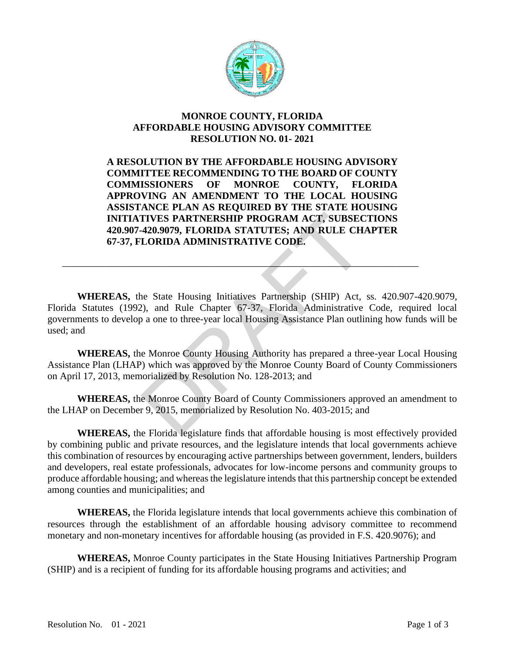

## **MONROE COUNTY, FLORIDA AFFORDABLE HOUSING ADVISORY COMMITTEE RESOLUTION NO. 01- 2021**

**A RESOLUTION BY THE AFFORDABLE HOUSING ADVISORY COMMITTEE RECOMMENDING TO THE BOARD OF COUNTY COMMISSIONERS OF MONROE COUNTY, FLORIDA APPROVING AN AMENDMENT TO THE LOCAL HOUSING ASSISTANCE PLAN AS REQUIRED BY THE STATE HOUSING INITIATIVES PARTNERSHIP PROGRAM ACT, SUBSECTIONS 420.907-420.9079, FLORIDA STATUTES; AND RULE CHAPTER 67-37, FLORIDA ADMINISTRATIVE CODE.**

TIVES PARTNERSHIP PROGRAM ACT, SUBSEC<br>420.9079, FLORIDA STATUTES; AND RULE CH.<br>LORIDA ADMINISTRATIVE CODE.<br>10. LORIDA ADMINISTRATIVE CODE.<br>10. And Rule Chapter 67-37, Florida Administrative<br>10. a one to three-year local Ho **WHEREAS,** the State Housing Initiatives Partnership (SHIP) Act, ss. 420.907-420.9079, Florida Statutes (1992), and Rule Chapter 67-37, Florida Administrative Code, required local governments to develop a one to three-year local Housing Assistance Plan outlining how funds will be used; and

\_\_\_\_\_\_\_\_\_\_\_\_\_\_\_\_\_\_\_\_\_\_\_\_\_\_\_\_\_\_\_\_\_\_\_\_\_\_\_\_\_\_\_\_\_\_\_\_\_\_\_\_\_\_\_\_\_\_\_\_\_\_\_\_\_\_\_\_\_\_\_\_

**WHEREAS,** the Monroe County Housing Authority has prepared a three-year Local Housing Assistance Plan (LHAP) which was approved by the Monroe County Board of County Commissioners on April 17, 2013, memorialized by Resolution No. 128-2013; and

**WHEREAS,** the Monroe County Board of County Commissioners approved an amendment to the LHAP on December 9, 2015, memorialized by Resolution No. 403-2015; and

**WHEREAS,** the Florida legislature finds that affordable housing is most effectively provided by combining public and private resources, and the legislature intends that local governments achieve this combination of resources by encouraging active partnerships between government, lenders, builders and developers, real estate professionals, advocates for low-income persons and community groups to produce affordable housing; and whereas the legislature intends that this partnership concept be extended among counties and municipalities; and

**WHEREAS,** the Florida legislature intends that local governments achieve this combination of resources through the establishment of an affordable housing advisory committee to recommend monetary and non-monetary incentives for affordable housing (as provided in F.S. 420.9076); and

**WHEREAS,** Monroe County participates in the State Housing Initiatives Partnership Program (SHIP) and is a recipient of funding for its affordable housing programs and activities; and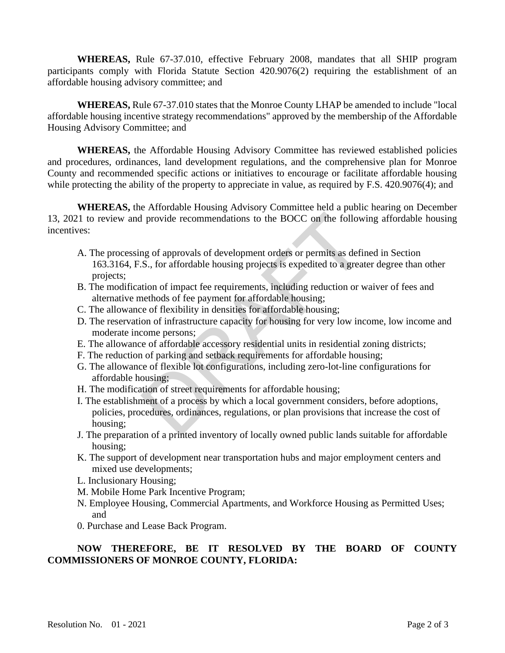**WHEREAS,** Rule 67-37.010, effective February 2008, mandates that all SHIP program participants comply with Florida Statute Section 420.9076(2) requiring the establishment of an affordable housing advisory committee; and

**WHEREAS,** Rule 67-37.010 states that the Monroe County LHAP be amended to include "local affordable housing incentive strategy recommendations" approved by the membership of the Affordable Housing Advisory Committee; and

**WHEREAS,** the Affordable Housing Advisory Committee has reviewed established policies and procedures, ordinances, land development regulations, and the comprehensive plan for Monroe County and recommended specific actions or initiatives to encourage or facilitate affordable housing while protecting the ability of the property to appreciate in value, as required by F.S. 420.9076(4); and

**WHEREAS,** the Affordable Housing Advisory Committee held a public hearing on December 13, 2021 to review and provide recommendations to the BOCC on the following affordable housing incentives:

- I provide recommendations to the BOCC on the follow<br>ng of approvals of development orders or permits as definst.<br>S., for affordable housing projects is expedited to a great<br>tion of impact fee requirements, including reduct A. The processing of approvals of development orders or permits as defined in Section 163.3164, F.S., for affordable housing projects is expedited to a greater degree than other projects;
- B. The modification of impact fee requirements, including reduction or waiver of fees and alternative methods of fee payment for affordable housing;
- C. The allowance of flexibility in densities for affordable housing;
- D. The reservation of infrastructure capacity for housing for very low income, low income and moderate income persons;
- E. The allowance of affordable accessory residential units in residential zoning districts;
- F. The reduction of parking and setback requirements for affordable housing;
- G. The allowance of flexible lot configurations, including zero-lot-line configurations for affordable housing;
- H. The modification of street requirements for affordable housing;
- I. The establishment of a process by which a local government considers, before adoptions, policies, procedures, ordinances, regulations, or plan provisions that increase the cost of housing;
- J. The preparation of a printed inventory of locally owned public lands suitable for affordable housing;
- K. The support of development near transportation hubs and major employment centers and mixed use developments;
- L. Inclusionary Housing;
- M. Mobile Home Park Incentive Program;
- N. Employee Housing, Commercial Apartments, and Workforce Housing as Permitted Uses; and
- 0. Purchase and Lease Back Program.

## **NOW THEREFORE, BE IT RESOLVED BY THE BOARD OF COUNTY COMMISSIONERS OF MONROE COUNTY, FLORIDA:**